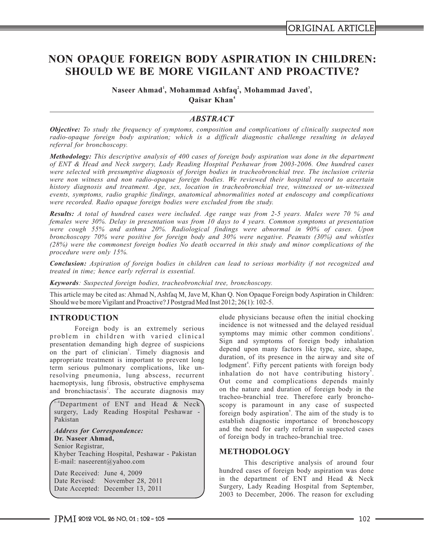# **NON OPAQUE FOREIGN BODY ASPIRATION IN CHILDREN: SHOULD WE BE MORE VIGILANT AND PROACTIVE?**

**<sup>1</sup> <sup>2</sup> <sup>3</sup> Naseer Ahmad , Mohammad Ashfaq , Mohammad Javed , <sup>4</sup> Qaisar Khan**

# *ABSTRACT*

*Objective: To study the frequency of symptoms, composition and complications of clinically suspected non radio-opaque foreign body aspiration; which is a difficult diagnostic challenge resulting in delayed referral for bronchoscopy.*

*Methodology: This descriptive analysis of 400 cases of foreign body aspiration was done in the department of ENT & Head and Neck surgery, Lady Reading Hospital Peshawar from 2003-2006. One hundred cases were selected with presumptive diagnosis of foreign bodies in tracheobronchial tree. The inclusion criteria were non witness and non radio-opaque foreign bodies. We reviewed their hospital record to ascertain history diagnosis and treatment. Age, sex, location in tracheobronchial tree, witnessed or un-witnessed events, symptoms, radio graphic findings, anatomical abnormalities noted at endoscopy and complications were recorded. Radio opaque foreign bodies were excluded from the study.*

*Results: A total of hundred cases were included. Age range was from 2-5 years. Males were 70 % and females were 30%. Delay in presentation was from 10 days to 4 years. Common symptoms at presentation were cough 55% and asthma 20%. Radiological findings were abnormal in 90% of cases. Upon bronchoscopy 70% were positive for foreign body and 30% were negative. Peanuts (30%) and whistles (28%) were the commonest foreign bodies No death occurred in this study and minor complications of the procedure were only 15%.*

*Conclusion: Aspiration of foreign bodies in children can lead to serious morbidity if not recognized and treated in time; hence early referral is essential.*

*Keywords: Suspected foreign bodies, tracheobronchial tree, bronchoscopy.*

This article may be cited as: Ahmad N, Ashfaq M, Jave M, Khan Q. Non Opaque Foreign body Aspiration in Children: Should we be more Vigilant and Proactive? J Postgrad Med Inst 2012; 26(1): 102-5.

problem in children with varied clinical symptoms may mimic other common conditions.<br>Sign and symptoms of foreign body inhalation presentation demanding high degree of suspicions sign and symptoms of foreign body inhalation presentation depend upon many factors like type, size, shape, on the part of clinician<sup>1</sup>. Timely diagnosis and depend upon many factors like type, size, shape, on the airway and site of appropriate treatment is important to prevent long duration, of its presence in the airway and si term serious pulmonary complications, like unresolving pneumonia, lung abscess, recurrent haemoptysis, lung fibrosis, obstructive emphysema<br>and hand bronchiactasis<sup>2</sup>. The accurate diagnosis may on the nature and duration of foreign body in the and bronchiactasis<sup>2</sup>. The accurate diagnosis may

<sup>1-4</sup>Department of ENT and Head & Neck surgery, Lady Reading Hospital Peshawar -Pakistan

*Address for Correspondence:*  **Dr. Naseer Ahmad,** Senior Registrar, Khyber Teaching Hospital, Peshawar - Pakistan E-mail: naseerent@yahoo.com

Date Received: June 4, 2009 Date Revised: November 28, 2011 Date Accepted: December 13, 2011

**INTRODUCTION** elude physicians because often the initial chocking incidence is not witnessed and the delayed residual Foreign body is an extremely serious incidence is not witnessed and the delayed residual Foreign body is an extremely serious symptoms may mimic other common conditions<sup>3</sup>. inhalation do not have contributing history<sup>5</sup>. tracheo-branchial tree. Therefore early bronchoscopy is paramount in any case of suspected foreign body aspiration<sup>6</sup>. The aim of the study is to establish diagnostic importance of bronchoscopy and the need for early referral in suspected cases of foreign body in tracheo-branchial tree.

# **METHODOLOGY**

This descriptive analysis of around four hundred cases of foreign body aspiration was done in the department of ENT and Head & Neck Surgery, Lady Reading Hospital from September, 2003 to December, 2006. The reason for excluding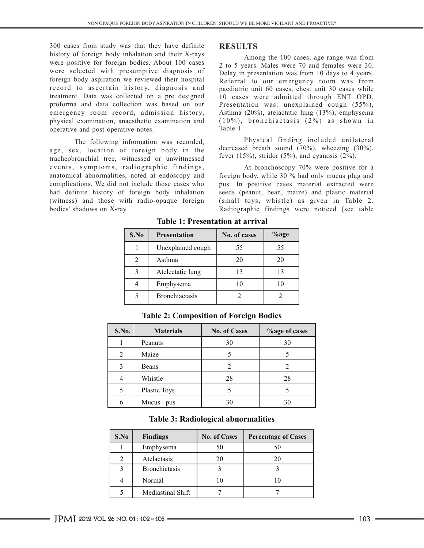300 cases from study was that they have definite **RESULTS**<br>history of foreign body inhalation and their X-rays history of foreign body inhalation and their X-rays Among the 100 cases; age range was from were positive for foreign bodies. About 100 cases 2.10 S years Males were 20 and familes were 20 were positive for foreign bodies. About 100 cases  $\frac{2 \text{ to 5}}{2 \text{ to 5}}$  years. Males were 70 and females were 30. were selected with presumptive diagnosis of Delay in presentation was from 10 days to 4 years.<br>
Selection body aspiration we reviewed their hospital Referral to our emergency room was from foreign body aspiration we reviewed their hospital Referral to our emergency room was from<br>record to ascertain history, diagnosis and paediatric unit 60 cases, chest unit 30 cases while record to ascertain history, diagnosis and paediatric unit 60 cases, chest unit 30 cases while<br>treatment. Data was collected on a pre designed 10 cases were admitted through ENT OPD. treatment. Data was collected on a pre designed 10 cases were admitted through ENT OPD.<br>proforma and data collection was based on our Presentation was: unexplained cough (55%), emergency room record, admission history, Asthma (20%), atelactatic lung (13%), emphysema physical examination, anaesthetic examination and  $(10\%)$ , b r on chiactasis  $(2\%)$  as shown in operative and post operative notes operative and post operative notes.

age, sex, location of foreign body in the tracheobronchial tree, witnessed or unwittnessed events, symptoms, radiographic findings,<br>anatomical abnormalities, noted at endoscopy and foreign body, while 30 % had only mucus plug and anatomical abnormalities, noted at endoscopy and foreign body, while 30 % had only mucus plug and complications. We did not include those cases who pus. In positive cases material extracted were had definite history of foreign body inhalation seeds (peanut, bean, maize) and plastic material (witness) and those with radio-opaque foreign (small toys, whistle) as given in Table 2. bodies' shadows on X-ray. Radiographic findings were noticed (see table

Presentation was: unexplained cough  $(55\%)$ ,

The following information was recorded,<br>  $\frac{1}{2}$  Physical finding included unilateral<br>
exploration of foreign hody in the decreased breath sound (70%), wheezing (30%), fever  $(15\%)$ , stridor  $(5\%)$ , and cyanosis  $(2\%)$ .

pus. In positive cases material extracted were

| S.No | <b>Presentation</b>   | No. of cases | $\%$ age |
|------|-----------------------|--------------|----------|
|      | Unexplained cough     | 55           | 55       |
|      | Asthma                | 20           | 20       |
|      | Atelectatic lung      |              |          |
|      | Emphysema             |              |          |
|      | <b>Bronchiactasis</b> |              |          |

**Table 1: Presentation at arrival** 

| S.No. | <b>Materials</b> | <b>No. of Cases</b> | <b>%age of cases</b> |
|-------|------------------|---------------------|----------------------|
|       | Peanuts          | 30                  | 30                   |
| 2     | Maize            |                     |                      |
| 3     | Beans            |                     |                      |
|       | Whistle          | 28                  | 28                   |
| 5     | Plastic Toys     |                     |                      |
|       | $Mucus+pus$      | 30                  | 30                   |

**Table 2: Composition of Foreign Bodies**

| <b>Table 3: Radiological abnormalities</b> |  |
|--------------------------------------------|--|
|--------------------------------------------|--|

| S.No | <b>Findings</b>      | <b>No. of Cases</b> | <b>Percentage of Cases</b> |
|------|----------------------|---------------------|----------------------------|
|      | Emphysema            | 50                  |                            |
|      | Atelactasis          | 20                  | 20                         |
|      | <b>Bronchictasis</b> |                     |                            |
|      | Normal               | 10                  |                            |
|      | Mediastinal Shift    |                     |                            |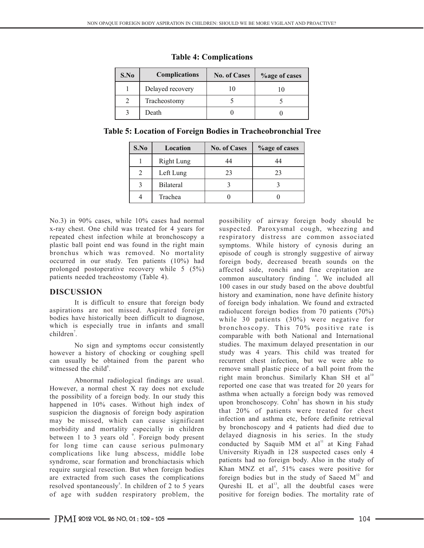| S.No | <b>Complications</b> | <b>No. of Cases</b> | <b>%</b> age of cases |
|------|----------------------|---------------------|-----------------------|
|      | Delayed recovery     |                     | 10                    |
|      | Tracheostomy         |                     |                       |
|      | Death                |                     |                       |

# **Table 4: Complications**

**Table 5: Location of Foreign Bodies in Tracheobronchial Tree** 

| S.No | Location          | <b>No. of Cases</b> | <b>%age of cases</b> |
|------|-------------------|---------------------|----------------------|
|      | <b>Right Lung</b> | 44                  | 44                   |
|      | Left Lung         | 23                  | 23                   |
|      | Bilateral         |                     |                      |
|      | Trachea           |                     |                      |

No.3) in 90% cases, while 10% cases had normal possibility of airway foreign body should be x-ray chest. One child was treated for 4 years for suspected. Paroxysmal cough, wheezing and repeated chest infection while at bronchoscopy a respiratory distress are common associated plastic ball point end was found in the right main symptoms. While history of cynosis during an plastic ball point end was found in the right main symptoms. While history of cynosis during an bronchus which was removed. No mortality episode of cough is strongly suggestive of airway occurred in our study. Ten patients  $(10\%)$  had foreign body, decreased breath sounds on the prolonged postoperative recovery while  $5 \ (5\%)$  affected side, ronchi and fine crepitation are prolonged postoperative recovery while  $5(5\%)$  affected side, ronchi and fine crepitation are patients needed tracheostomy (Table 4).

It is difficult to ensure that foreign body of foreign body inhalation. We found and extracted aspirations are not missed. Aspirated foreign radiolucent foreign bodies from 70 patients (70%) aspirations are not missed. Aspirated foreign radiolucent foreign bodies from 70 patients (70%) bodies have historically been difficult to diagnose, while 30 patients (30%) were negative for bodies have historically been difficult to diagnose, while 30 patients (30%) were negative for which is especially true in infants and small bronchoscopy. This 70% positive rate is  $children<sup>7</sup>$ .

however a history of chocking or coughing spell study was 4 years. This child was treated for can usually be obtained from the parent who recurrent chest infection, but we were able to can usually be obtained from the parent who witnessed the child<sup>8</sup>. The remove small plastic piece of a ball point from the

However, a normal chest X ray does not exclude reported one case that was treated for 20 years for the nogeibility of a foreign body In our study this asthma when actually a foreign body was removed the possibility of a foreign body. In our study this happened in 10% cases. Without high index of suspicion the diagnosis of foreign body aspiration may be missed, which can cause significant infection and asthma etc, before definite retrieval<br>morbidity and mortality especially in children by bronchoscopy and 4 patients had died due to morbidity and mortality especially in children<br>between 1 to 3 years old, Foreign body present delayed diagnosis in his series. In the study between 1 to 3 years old  $\degree$ . Foreign body present for long time can cause serious pulmonary conducted by Saquib MM et al at King Fahad for long time complications like lung abscess, middle lobe University Riyadh in 128 suspected cases only 4 complications like lung abscess, middle lobe University Riyadh in 128 suspected cases only 4 syndrome, scar formation and bronchiactasis which patients had no foreign body. Also in the study of syndrome, scar formation and bronchiactasis which require surgical resection. But when foreign bodies are extracted from such cases the complications resolved spontaneously<sup>5</sup>. In children of 2 to 5 years resolved spontaneously<sup>3</sup>. In children of 2 to 5 years Qureshi IL et al<sup>13</sup>, all the doubtful cases were of age with sudden respiratory problem, the positive for foreign bodies. The mortality rate of

episode of cough is strongly suggestive of airway common auscultatory finding <sup>4</sup>. We included all 100 cases in our study based on the above doubtful **DISCUSSION** history and examination, none have definite history bronchoscopy. This 70% positive rate is comparable with both National and International No sign and symptoms occur consistently studies. The maximum delayed presentation in our ign a history of chocking or coughing spell study was 4 years. This child was treated for right main bronchus. Similarly Khan SH et al<sup>10</sup> Abnormal radiological findings are usual. The right main bronchus. Similarly Khan SH et al<br>reported one case that was treated for 20 years for upon bronchoscopy. Cohn<sup>5</sup> has shown in his study that 20% of patients were treated for chest conducted by Saquib MM et al<sup>11</sup> at King Fahad Khan MNZ et al<sup>4</sup>,  $51\%$  cases were positive for foreign bodies but in the study of Saeed  $M<sup>12</sup>$  and